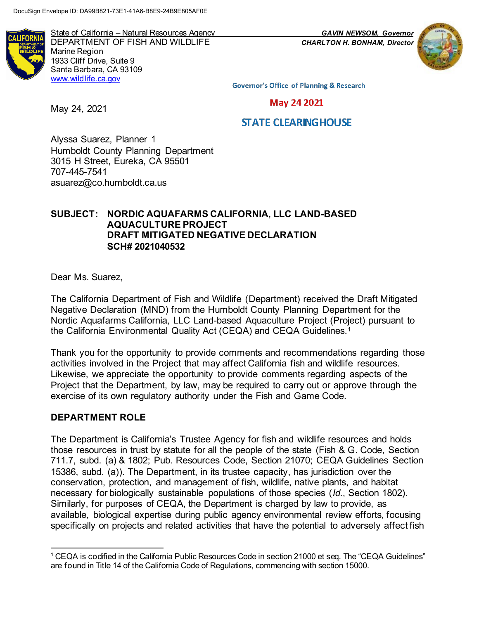State of California – Natural Resources Agency *GAVIN NEWSOM, Governor* DEPARTMENT OF FISH AND WILDLIFE *CHARLTON H. BONHAM, Director* Marine Region 1933 Cliff Drive, Suite 9 Santa Barbara, CA 93109 [www.wildlife.ca.gov](http://www.wildlife.ca.gov/)

**Governor's Office of Planning & Research** 

**May 24 2021** 

# **STATE CLEARING HOUSE**

Alyssa Suarez, Planner 1 Humboldt County Planning Department 3015 H Street, Eureka, CA 95501 707-445-7541 asuarez@co.humboldt.ca.us

## **SUBJECT: NORDIC AQUAFARMS CALIFORNIA, LLC LAND-BASED AQUACULTURE PROJECT DRAFT MITIGATED NEGATIVE DECLARATION SCH# 2021040532**

Dear Ms. Suarez,

May 24, 2021

The California Department of Fish and Wildlife (Department) received the Draft Mitigated Negative Declaration (MND) from the Humboldt County Planning Department for the Nordic Aquafarms California, LLC Land-based Aquaculture Project (Project) pursuant to the California Environmental Quality Act (CEQA) and CEQA Guidelines.<sup>1</sup>

Thank you for the opportunity to provide comments and recommendations regarding those activities involved in the Project that may affect California fish and wildlife resources. Likewise, we appreciate the opportunity to provide comments regarding aspects of the Project that the Department, by law, may be required to carry out or approve through the exercise of its own regulatory authority under the Fish and Game Code.

## **DEPARTMENT ROLE**

The Department is California's Trustee Agency for fish and wildlife resources and holds those resources in trust by statute for all the people of the state (Fish & G. Code, Section 711.7, subd. (a) & 1802; Pub. Resources Code, Section 21070; CEQA Guidelines Section 15386, subd. (a)). The Department, in its trustee capacity, has jurisdiction over the conservation, protection, and management of fish, wildlife, native plants, and habitat necessary for biologically sustainable populations of those species (*Id.*, Section 1802). Similarly, for purposes of CEQA, the Department is charged by law to provide, as available, biological expertise during public agency environmental review efforts, focusing specifically on projects and related activities that have the potential to adversely affect fish

 $^1$  CEQA is codified in the California Public Resources Code in section 21000 et seq. The "CEQA Guidelines" are found in Title 14 of the California Code of Regulations, commencing with section 15000.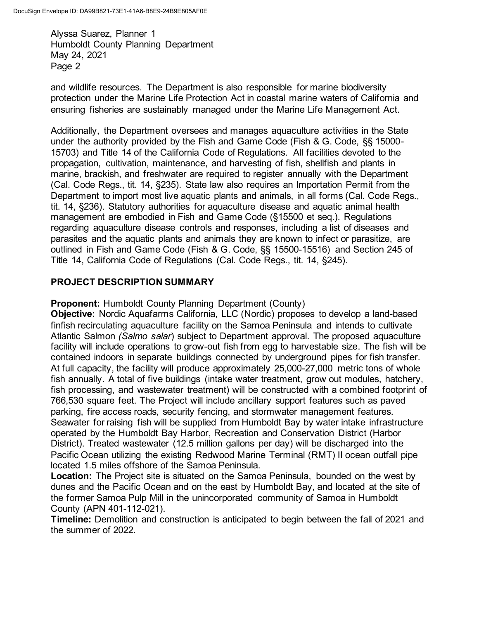and wildlife resources. The Department is also responsible for marine biodiversity protection under the Marine Life Protection Act in coastal marine waters of California and ensuring fisheries are sustainably managed under the Marine Life Management Act.

Additionally, the Department oversees and manages aquaculture activities in the State under the authority provided by the Fish and Game Code (Fish & G. Code, §§ 15000- 15703) and Title 14 of the California Code of Regulations. All facilities devoted to the propagation, cultivation, maintenance, and harvesting of fish, shellfish and plants in marine, brackish, and freshwater are required to register annually with the Department (Cal. Code Regs., tit. 14, §235). State law also requires an Importation Permit from the Department to import most live aquatic plants and animals, in all forms (Cal. Code Regs., tit. 14, §236). Statutory authorities for aquaculture disease and aquatic animal health management are embodied in Fish and Game Code (§15500 et seq.). Regulations regarding aquaculture disease controls and responses, including a list of diseases and parasites and the aquatic plants and animals they are known to infect or parasitize, are outlined in Fish and Game Code (Fish & G. Code, §§ 15500-15516) and Section 245 of Title 14, California Code of Regulations (Cal. Code Regs., tit. 14, §245).

# **PROJECT DESCRIPTION SUMMARY**

**Proponent:** Humboldt County Planning Department (County)

**Objective:** Nordic Aquafarms California, LLC (Nordic) proposes to develop a land-based finfish recirculating aquaculture facility on the Samoa Peninsula and intends to cultivate Atlantic Salmon *(Salmo salar*) subject to Department approval. The proposed aquaculture facility will include operations to grow-out fish from egg to harvestable size. The fish will be contained indoors in separate buildings connected by underground pipes for fish transfer. At full capacity, the facility will produce approximately 25,000-27,000 metric tons of whole fish annually. A total of five buildings (intake water treatment, grow out modules, hatchery, fish processing, and wastewater treatment) will be constructed with a combined footprint of 766,530 square feet. The Project will include ancillary support features such as paved parking, fire access roads, security fencing, and stormwater management features. Seawater for raising fish will be supplied from Humboldt Bay by water intake infrastructure operated by the Humboldt Bay Harbor, Recreation and Conservation District (Harbor District). Treated wastewater (12.5 million gallons per day) will be discharged into the Pacific Ocean utilizing the existing Redwood Marine Terminal (RMT) II ocean outfall pipe located 1.5 miles offshore of the Samoa Peninsula.

**Location:** The Project site is situated on the Samoa Peninsula, bounded on the west by dunes and the Pacific Ocean and on the east by Humboldt Bay, and located at the site of the former Samoa Pulp Mill in the unincorporated community of Samoa in Humboldt County (APN 401-112-021).

**Timeline:** Demolition and construction is anticipated to begin between the fall of 2021 and the summer of 2022.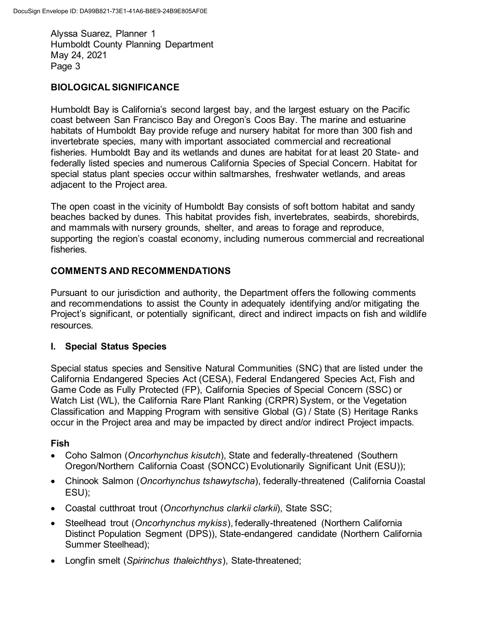# **BIOLOGICAL SIGNIFICANCE**

Humboldt Bay is California's second largest bay, and the largest estuary on the Pacific coast between San Francisco Bay and Oregon's Coos Bay. The marine and estuarine habitats of Humboldt Bay provide refuge and nursery habitat for more than 300 fish and invertebrate species, many with important associated commercial and recreational fisheries. Humboldt Bay and its wetlands and dunes are habitat for at least 20 State- and federally listed species and numerous California Species of Special Concern. Habitat for special status plant species occur within saltmarshes, freshwater wetlands, and areas adjacent to the Project area.

The open coast in the vicinity of Humboldt Bay consists of soft bottom habitat and sandy beaches backed by dunes. This habitat provides fish, invertebrates, seabirds, shorebirds, and mammals with nursery grounds, shelter, and areas to forage and reproduce, supporting the region's coastal economy, including numerous commercial and recreational fisheries.

# **COMMENTS AND RECOMMENDATIONS**

Pursuant to our jurisdiction and authority, the Department offers the following comments and recommendations to assist the County in adequately identifying and/or mitigating the Project's significant, or potentially significant, direct and indirect impacts on fish and wildlife resources.

# **I. Special Status Species**

Special status species and Sensitive Natural Communities (SNC) that are listed under the California Endangered Species Act (CESA), Federal Endangered Species Act, Fish and Game Code as Fully Protected (FP), California Species of Special Concern (SSC) or Watch List (WL), the California Rare Plant Ranking (CRPR) System, or the Vegetation Classification and Mapping Program with sensitive Global (G) / State (S) Heritage Ranks occur in the Project area and may be impacted by direct and/or indirect Project impacts.

# **Fish**

- Coho Salmon (*Oncorhynchus kisutch*), State and federally-threatened (Southern Oregon/Northern California Coast (SONCC) Evolutionarily Significant Unit (ESU));
- Chinook Salmon (*Oncorhynchus tshawytscha*), federally-threatened (California Coastal ESU);
- Coastal cutthroat trout (*Oncorhynchus clarkii clarkii*), State SSC;
- Steelhead trout (*Oncorhynchus mykiss*), federally-threatened (Northern California Distinct Population Segment (DPS)), State-endangered candidate (Northern California Summer Steelhead);
- Longfin smelt (*Spirinchus thaleichthys*), State-threatened;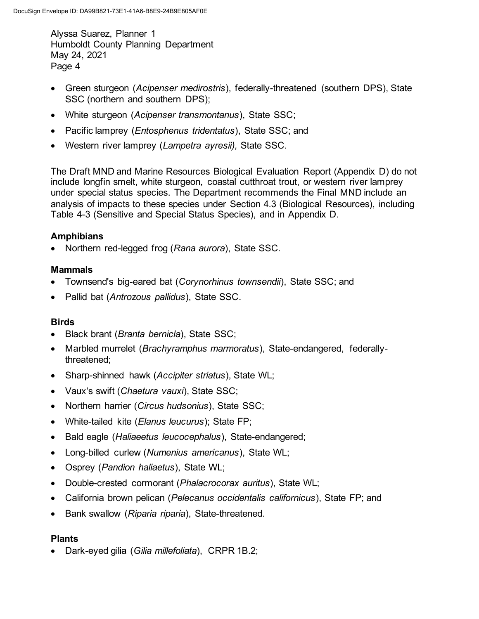- Green sturgeon (*Acipenser medirostris*), federally-threatened (southern DPS), State SSC (northern and southern DPS);
- White sturgeon (*Acipenser transmontanus*), State SSC;
- Pacific lamprey (*Entosphenus tridentatus*), State SSC; and
- Western river lamprey (*Lampetra ayresii),* State SSC.

The Draft MND and Marine Resources Biological Evaluation Report (Appendix D) do not include longfin smelt, white sturgeon, coastal cutthroat trout, or western river lamprey under special status species. The Department recommends the Final MND include an analysis of impacts to these species under Section 4.3 (Biological Resources), including Table 4-3 (Sensitive and Special Status Species), and in Appendix D.

## **Amphibians**

• Northern red-legged frog (*Rana aurora*), State SSC.

## **Mammals**

- Townsend's big-eared bat (*Corynorhinus townsendii*), State SSC; and
- Pallid bat (*Antrozous pallidus*), State SSC.

## **Birds**

- Black brant (*Branta bernicla*), State SSC;
- Marbled murrelet (*Brachyramphus marmoratus*), State-endangered, federallythreatened;
- Sharp-shinned hawk (*Accipiter striatus*), State WL;
- Vaux's swift (*Chaetura vauxi*), State SSC;
- Northern harrier (*Circus hudsonius*), State SSC;
- White-tailed kite (*Elanus leucurus*); State FP;
- Bald eagle (*Haliaeetus leucocephalus*), State-endangered;
- Long-billed curlew (*Numenius americanus*), State WL;
- Osprey (*Pandion haliaetus*), State WL;
- Double-crested cormorant (*Phalacrocorax auritus*), State WL;
- California brown pelican (*Pelecanus occidentalis californicus*), State FP; and
- Bank swallow (*Riparia riparia*), State-threatened.

## **Plants**

• Dark-eyed gilia (*Gilia millefoliata*), CRPR 1B.2;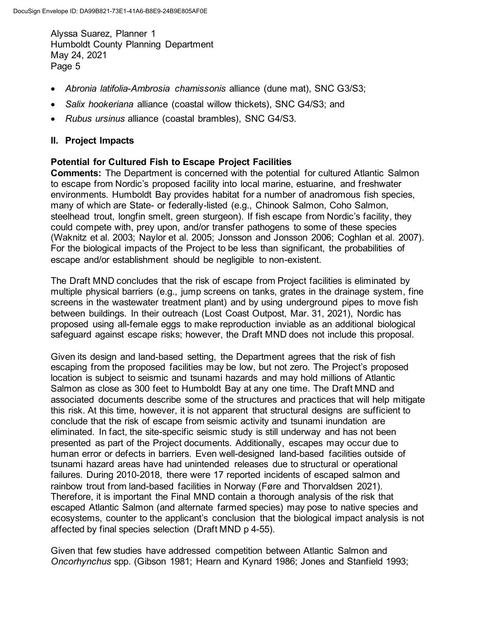- *Abronia latifolia*-*Ambrosia chamissonis* alliance (dune mat), SNC G3/S3;
- *Salix hookeriana* alliance (coastal willow thickets), SNC G4/S3; and
- *Rubus ursinus* alliance (coastal brambles), SNC G4/S3.

# **II. Project Impacts**

## **Potential for Cultured Fish to Escape Project Facilities**

**Comments:** The Department is concerned with the potential for cultured Atlantic Salmon to escape from Nordic's proposed facility into local marine, estuarine, and freshwater environments. Humboldt Bay provides habitat for a number of anadromous fish species, many of which are State- or federally-listed (e.g., Chinook Salmon, Coho Salmon, steelhead trout, longfin smelt, green sturgeon). If fish escape from Nordic's facility, they could compete with, prey upon, and/or transfer pathogens to some of these species (Waknitz et al. 2003; Naylor et al. 2005; Jonsson and Jonsson 2006; Coghlan et al. 2007). For the biological impacts of the Project to be less than significant, the probabilities of escape and/or establishment should be negligible to non-existent.

The Draft MND concludes that the risk of escape from Project facilities is eliminated by multiple physical barriers (e.g., jump screens on tanks, grates in the drainage system, fine screens in the wastewater treatment plant) and by using underground pipes to move fish between buildings. In their outreach (Lost Coast Outpost, Mar. 31, 2021), Nordic has proposed using all-female eggs to make reproduction inviable as an additional biological safeguard against escape risks; however, the Draft MND does not include this proposal.

Given its design and land-based setting, the Department agrees that the risk of fish escaping from the proposed facilities may be low, but not zero. The Project's proposed location is subject to seismic and tsunami hazards and may hold millions of Atlantic Salmon as close as 300 feet to Humboldt Bay at any one time. The Draft MND and associated documents describe some of the structures and practices that will help mitigate this risk. At this time, however, it is not apparent that structural designs are sufficient to conclude that the risk of escape from seismic activity and tsunami inundation are eliminated. In fact, the site-specific seismic study is still underway and has not been presented as part of the Project documents. Additionally, escapes may occur due to human error or defects in barriers. Even well-designed land-based facilities outside of tsunami hazard areas have had unintended releases due to structural or operational failures. During 2010-2018, there were 17 reported incidents of escaped salmon and rainbow trout from land-based facilities in Norway (Føre and Thorvaldsen 2021). Therefore, it is important the Final MND contain a thorough analysis of the risk that escaped Atlantic Salmon (and alternate farmed species) may pose to native species and ecosystems, counter to the applicant's conclusion that the biological impact analysis is not affected by final species selection (Draft MND p 4-55).

Given that few studies have addressed competition between Atlantic Salmon and *Oncorhynchus* spp. (Gibson 1981; Hearn and Kynard 1986; Jones and Stanfield 1993;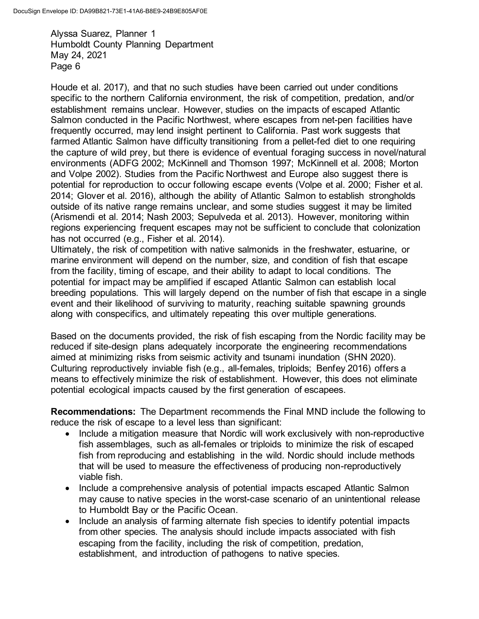Houde et al. 2017), and that no such studies have been carried out under conditions specific to the northern California environment, the risk of competition, predation, and/or establishment remains unclear. However, studies on the impacts of escaped Atlantic Salmon conducted in the Pacific Northwest, where escapes from net-pen facilities have frequently occurred, may lend insight pertinent to California. Past work suggests that farmed Atlantic Salmon have difficulty transitioning from a pellet-fed diet to one requiring the capture of wild prey, but there is evidence of eventual foraging success in novel/natural environments (ADFG 2002; McKinnell and Thomson 1997; McKinnell et al. 2008; Morton and Volpe 2002). Studies from the Pacific Northwest and Europe also suggest there is potential for reproduction to occur following escape events (Volpe et al. 2000; Fisher et al. 2014; Glover et al. 2016), although the ability of Atlantic Salmon to establish strongholds outside of its native range remains unclear, and some studies suggest it may be limited (Arismendi et al. 2014; Nash 2003; Sepulveda et al. 2013). However, monitoring within regions experiencing frequent escapes may not be sufficient to conclude that colonization has not occurred (e.g., Fisher et al. 2014).

Ultimately, the risk of competition with native salmonids in the freshwater, estuarine, or marine environment will depend on the number, size, and condition of fish that escape from the facility, timing of escape, and their ability to adapt to local conditions. The potential for impact may be amplified if escaped Atlantic Salmon can establish local breeding populations. This will largely depend on the number of fish that escape in a single event and their likelihood of surviving to maturity, reaching suitable spawning grounds along with conspecifics, and ultimately repeating this over multiple generations.

Based on the documents provided, the risk of fish escaping from the Nordic facility may be reduced if site-design plans adequately incorporate the engineering recommendations aimed at minimizing risks from seismic activity and tsunami inundation (SHN 2020). Culturing reproductively inviable fish (e.g., all-females, triploids; Benfey 2016) offers a means to effectively minimize the risk of establishment. However, this does not eliminate potential ecological impacts caused by the first generation of escapees.

**Recommendations:** The Department recommends the Final MND include the following to reduce the risk of escape to a level less than significant:

- Include a mitigation measure that Nordic will work exclusively with non-reproductive fish assemblages, such as all-females or triploids to minimize the risk of escaped fish from reproducing and establishing in the wild. Nordic should include methods that will be used to measure the effectiveness of producing non-reproductively viable fish.
- Include a comprehensive analysis of potential impacts escaped Atlantic Salmon may cause to native species in the worst-case scenario of an unintentional release to Humboldt Bay or the Pacific Ocean.
- Include an analysis of farming alternate fish species to identify potential impacts from other species. The analysis should include impacts associated with fish escaping from the facility, including the risk of competition, predation, establishment, and introduction of pathogens to native species.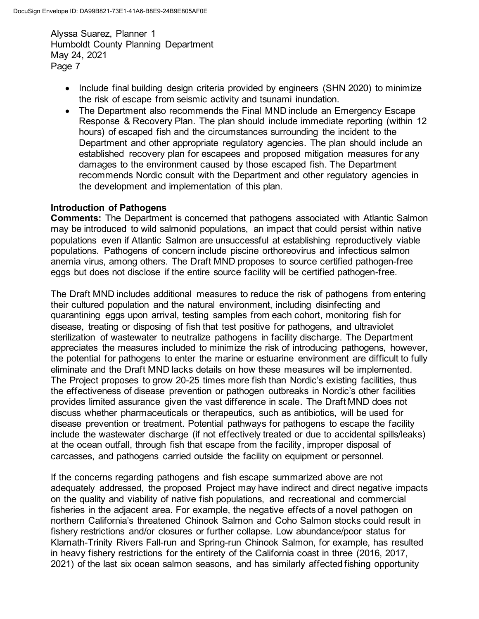- Include final building design criteria provided by engineers (SHN 2020) to minimize the risk of escape from seismic activity and tsunami inundation.
- The Department also recommends the Final MND include an Emergency Escape Response & Recovery Plan. The plan should include immediate reporting (within 12 hours) of escaped fish and the circumstances surrounding the incident to the Department and other appropriate regulatory agencies. The plan should include an established recovery plan for escapees and proposed mitigation measures for any damages to the environment caused by those escaped fish. The Department recommends Nordic consult with the Department and other regulatory agencies in the development and implementation of this plan.

#### **Introduction of Pathogens**

**Comments:** The Department is concerned that pathogens associated with Atlantic Salmon may be introduced to wild salmonid populations, an impact that could persist within native populations even if Atlantic Salmon are unsuccessful at establishing reproductively viable populations. Pathogens of concern include piscine orthoreovirus and infectious salmon anemia virus, among others. The Draft MND proposes to source certified pathogen-free eggs but does not disclose if the entire source facility will be certified pathogen-free.

The Draft MND includes additional measures to reduce the risk of pathogens from entering their cultured population and the natural environment, including disinfecting and quarantining eggs upon arrival, testing samples from each cohort, monitoring fish for disease, treating or disposing of fish that test positive for pathogens, and ultraviolet sterilization of wastewater to neutralize pathogens in facility discharge. The Department appreciates the measures included to minimize the risk of introducing pathogens, however, the potential for pathogens to enter the marine or estuarine environment are difficult to fully eliminate and the Draft MND lacks details on how these measures will be implemented. The Project proposes to grow 20-25 times more fish than Nordic's existing facilities, thus the effectiveness of disease prevention or pathogen outbreaks in Nordic's other facilities provides limited assurance given the vast difference in scale. The Draft MND does not discuss whether pharmaceuticals or therapeutics, such as antibiotics, will be used for disease prevention or treatment. Potential pathways for pathogens to escape the facility include the wastewater discharge (if not effectively treated or due to accidental spills/leaks) at the ocean outfall, through fish that escape from the facility, improper disposal of carcasses, and pathogens carried outside the facility on equipment or personnel.

If the concerns regarding pathogens and fish escape summarized above are not adequately addressed, the proposed Project may have indirect and direct negative impacts on the quality and viability of native fish populations, and recreational and commercial fisheries in the adjacent area. For example, the negative effects of a novel pathogen on northern California's threatened Chinook Salmon and Coho Salmon stocks could result in fishery restrictions and/or closures or further collapse. Low abundance/poor status for Klamath-Trinity Rivers Fall-run and Spring-run Chinook Salmon, for example, has resulted in heavy fishery restrictions for the entirety of the California coast in three (2016, 2017, 2021) of the last six ocean salmon seasons, and has similarly affected fishing opportunity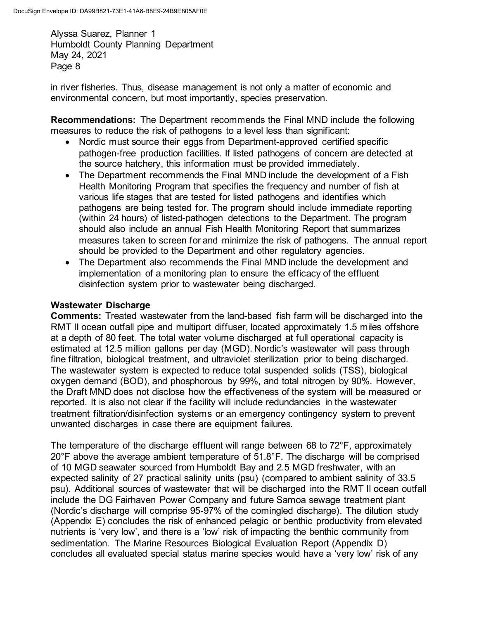in river fisheries. Thus, disease management is not only a matter of economic and environmental concern, but most importantly, species preservation.

**Recommendations:** The Department recommends the Final MND include the following measures to reduce the risk of pathogens to a level less than significant:

- Nordic must source their eggs from Department-approved certified specific pathogen-free production facilities. If listed pathogens of concern are detected at the source hatchery, this information must be provided immediately.
- The Department recommends the Final MND include the development of a Fish Health Monitoring Program that specifies the frequency and number of fish at various life stages that are tested for listed pathogens and identifies which pathogens are being tested for. The program should include immediate reporting (within 24 hours) of listed-pathogen detections to the Department. The program should also include an annual Fish Health Monitoring Report that summarizes measures taken to screen for and minimize the risk of pathogens. The annual report should be provided to the Department and other regulatory agencies.
- The Department also recommends the Final MND include the development and implementation of a monitoring plan to ensure the efficacy of the effluent disinfection system prior to wastewater being discharged.

## **Wastewater Discharge**

**Comments:** Treated wastewater from the land-based fish farm will be discharged into the RMT II ocean outfall pipe and multiport diffuser, located approximately 1.5 miles offshore at a depth of 80 feet. The total water volume discharged at full operational capacity is estimated at 12.5 million gallons per day (MGD). Nordic's wastewater will pass through fine filtration, biological treatment, and ultraviolet sterilization prior to being discharged. The wastewater system is expected to reduce total suspended solids (TSS), biological oxygen demand (BOD), and phosphorous by 99%, and total nitrogen by 90%. However, the Draft MND does not disclose how the effectiveness of the system will be measured or reported. It is also not clear if the facility will include redundancies in the wastewater treatment filtration/disinfection systems or an emergency contingency system to prevent unwanted discharges in case there are equipment failures.

The temperature of the discharge effluent will range between 68 to 72°F, approximately 20°F above the average ambient temperature of 51.8°F. The discharge will be comprised of 10 MGD seawater sourced from Humboldt Bay and 2.5 MGD freshwater, with an expected salinity of 27 practical salinity units (psu) (compared to ambient salinity of 33.5 psu). Additional sources of wastewater that will be discharged into the RMT II ocean outfall include the DG Fairhaven Power Company and future Samoa sewage treatment plant (Nordic's discharge will comprise 95-97% of the comingled discharge). The dilution study (Appendix E) concludes the risk of enhanced pelagic or benthic productivity from elevated nutrients is 'very low', and there is a 'low' risk of impacting the benthic community from sedimentation. The Marine Resources Biological Evaluation Report (Appendix D) concludes all evaluated special status marine species would have a 'very low' risk of any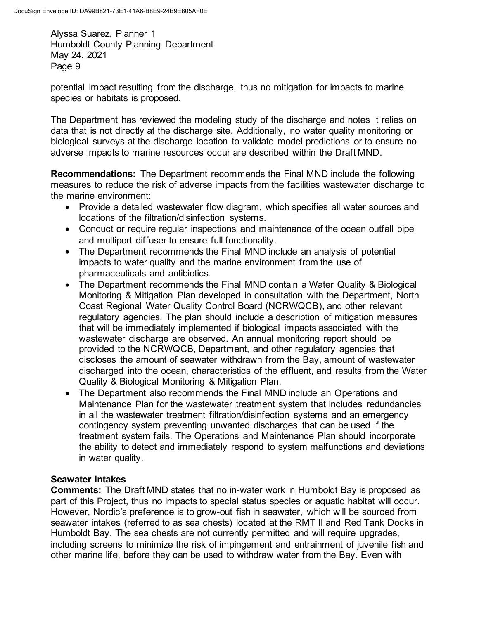potential impact resulting from the discharge, thus no mitigation for impacts to marine species or habitats is proposed.

The Department has reviewed the modeling study of the discharge and notes it relies on data that is not directly at the discharge site. Additionally, no water quality monitoring or biological surveys at the discharge location to validate model predictions or to ensure no adverse impacts to marine resources occur are described within the Draft MND.

**Recommendations:** The Department recommends the Final MND include the following measures to reduce the risk of adverse impacts from the facilities wastewater discharge to the marine environment:

- Provide a detailed wastewater flow diagram, which specifies all water sources and locations of the filtration/disinfection systems.
- Conduct or require regular inspections and maintenance of the ocean outfall pipe and multiport diffuser to ensure full functionality.
- The Department recommends the Final MND include an analysis of potential impacts to water quality and the marine environment from the use of pharmaceuticals and antibiotics.
- The Department recommends the Final MND contain a Water Quality & Biological Monitoring & Mitigation Plan developed in consultation with the Department, North Coast Regional Water Quality Control Board (NCRWQCB), and other relevant regulatory agencies. The plan should include a description of mitigation measures that will be immediately implemented if biological impacts associated with the wastewater discharge are observed. An annual monitoring report should be provided to the NCRWQCB, Department, and other regulatory agencies that discloses the amount of seawater withdrawn from the Bay, amount of wastewater discharged into the ocean, characteristics of the effluent, and results from the Water Quality & Biological Monitoring & Mitigation Plan.
- The Department also recommends the Final MND include an Operations and Maintenance Plan for the wastewater treatment system that includes redundancies in all the wastewater treatment filtration/disinfection systems and an emergency contingency system preventing unwanted discharges that can be used if the treatment system fails. The Operations and Maintenance Plan should incorporate the ability to detect and immediately respond to system malfunctions and deviations in water quality.

# **Seawater Intakes**

**Comments:** The Draft MND states that no in-water work in Humboldt Bay is proposed as part of this Project, thus no impacts to special status species or aquatic habitat will occur. However, Nordic's preference is to grow-out fish in seawater, which will be sourced from seawater intakes (referred to as sea chests) located at the RMT II and Red Tank Docks in Humboldt Bay. The sea chests are not currently permitted and will require upgrades, including screens to minimize the risk of impingement and entrainment of juvenile fish and other marine life, before they can be used to withdraw water from the Bay. Even with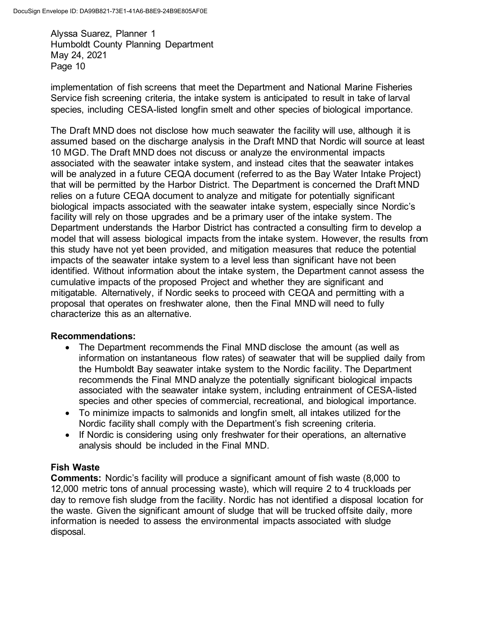implementation of fish screens that meet the Department and National Marine Fisheries Service fish screening criteria, the intake system is anticipated to result in take of larval species, including CESA-listed longfin smelt and other species of biological importance.

The Draft MND does not disclose how much seawater the facility will use, although it is assumed based on the discharge analysis in the Draft MND that Nordic will source at least 10 MGD. The Draft MND does not discuss or analyze the environmental impacts associated with the seawater intake system, and instead cites that the seawater intakes will be analyzed in a future CEQA document (referred to as the Bay Water Intake Project) that will be permitted by the Harbor District. The Department is concerned the Draft MND relies on a future CEQA document to analyze and mitigate for potentially significant biological impacts associated with the seawater intake system, especially since Nordic's facility will rely on those upgrades and be a primary user of the intake system. The Department understands the Harbor District has contracted a consulting firm to develop a model that will assess biological impacts from the intake system. However, the results from this study have not yet been provided, and mitigation measures that reduce the potential impacts of the seawater intake system to a level less than significant have not been identified. Without information about the intake system, the Department cannot assess the cumulative impacts of the proposed Project and whether they are significant and mitigatable. Alternatively, if Nordic seeks to proceed with CEQA and permitting with a proposal that operates on freshwater alone, then the Final MND will need to fully characterize this as an alternative.

## **Recommendations:**

- The Department recommends the Final MND disclose the amount (as well as information on instantaneous flow rates) of seawater that will be supplied daily from the Humboldt Bay seawater intake system to the Nordic facility. The Department recommends the Final MND analyze the potentially significant biological impacts associated with the seawater intake system, including entrainment of CESA-listed species and other species of commercial, recreational, and biological importance.
- To minimize impacts to salmonids and longfin smelt, all intakes utilized for the Nordic facility shall comply with the Department's fish screening criteria.
- If Nordic is considering using only freshwater for their operations, an alternative analysis should be included in the Final MND.

# **Fish Waste**

**Comments:** Nordic's facility will produce a significant amount of fish waste (8,000 to 12,000 metric tons of annual processing waste), which will require 2 to 4 truckloads per day to remove fish sludge from the facility. Nordic has not identified a disposal location for the waste. Given the significant amount of sludge that will be trucked offsite daily, more information is needed to assess the environmental impacts associated with sludge disposal.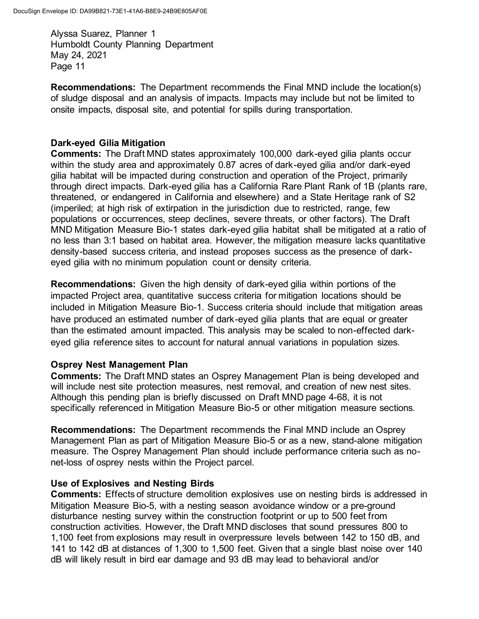**Recommendations:** The Department recommends the Final MND include the location(s) of sludge disposal and an analysis of impacts. Impacts may include but not be limited to onsite impacts, disposal site, and potential for spills during transportation.

## **Dark-eyed Gilia Mitigation**

**Comments:** The Draft MND states approximately 100,000 dark-eyed gilia plants occur within the study area and approximately 0.87 acres of dark-eyed gilia and/or dark-eyed gilia habitat will be impacted during construction and operation of the Project, primarily through direct impacts. Dark-eyed gilia has a California Rare Plant Rank of 1B (plants rare, threatened, or endangered in California and elsewhere) and a State Heritage rank of S2 (imperiled; at high risk of extirpation in the jurisdiction due to restricted, range, few populations or occurrences, steep declines, severe threats, or other factors). The Draft MND Mitigation Measure Bio-1 states dark-eyed gilia habitat shall be mitigated at a ratio of no less than 3:1 based on habitat area. However, the mitigation measure lacks quantitative density-based success criteria, and instead proposes success as the presence of darkeyed gilia with no minimum population count or density criteria.

**Recommendations:** Given the high density of dark-eyed gilia within portions of the impacted Project area, quantitative success criteria for mitigation locations should be included in Mitigation Measure Bio-1. Success criteria should include that mitigation areas have produced an estimated number of dark-eyed gilia plants that are equal or greater than the estimated amount impacted. This analysis may be scaled to non-effected darkeyed gilia reference sites to account for natural annual variations in population sizes.

## **Osprey Nest Management Plan**

**Comments:** The Draft MND states an Osprey Management Plan is being developed and will include nest site protection measures, nest removal, and creation of new nest sites. Although this pending plan is briefly discussed on Draft MND page 4-68, it is not specifically referenced in Mitigation Measure Bio-5 or other mitigation measure sections.

**Recommendations:** The Department recommends the Final MND include an Osprey Management Plan as part of Mitigation Measure Bio-5 or as a new, stand-alone mitigation measure. The Osprey Management Plan should include performance criteria such as nonet-loss of osprey nests within the Project parcel.

## **Use of Explosives and Nesting Birds**

**Comments:** Effects of structure demolition explosives use on nesting birds is addressed in Mitigation Measure Bio-5, with a nesting season avoidance window or a pre-ground disturbance nesting survey within the construction footprint or up to 500 feet from construction activities. However, the Draft MND discloses that sound pressures 800 to 1,100 feet from explosions may result in overpressure levels between 142 to 150 dB, and 141 to 142 dB at distances of 1,300 to 1,500 feet. Given that a single blast noise over 140 dB will likely result in bird ear damage and 93 dB may lead to behavioral and/or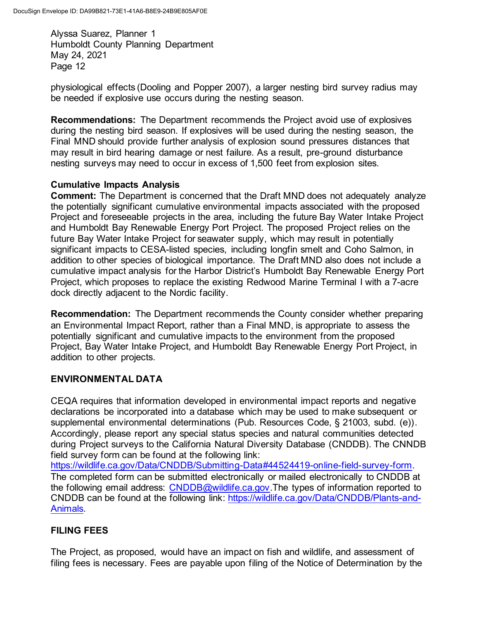physiological effects (Dooling and Popper 2007), a larger nesting bird survey radius may be needed if explosive use occurs during the nesting season.

**Recommendations:** The Department recommends the Project avoid use of explosives during the nesting bird season. If explosives will be used during the nesting season, the Final MND should provide further analysis of explosion sound pressures distances that may result in bird hearing damage or nest failure. As a result, pre-ground disturbance nesting surveys may need to occur in excess of 1,500 feet from explosion sites.

# **Cumulative Impacts Analysis**

**Comment:** The Department is concerned that the Draft MND does not adequately analyze the potentially significant cumulative environmental impacts associated with the proposed Project and foreseeable projects in the area, including the future Bay Water Intake Project and Humboldt Bay Renewable Energy Port Project. The proposed Project relies on the future Bay Water Intake Project for seawater supply, which may result in potentially significant impacts to CESA-listed species, including longfin smelt and Coho Salmon, in addition to other species of biological importance. The Draft MND also does not include a cumulative impact analysis for the Harbor District's Humboldt Bay Renewable Energy Port Project, which proposes to replace the existing Redwood Marine Terminal I with a 7-acre dock directly adjacent to the Nordic facility.

**Recommendation:** The Department recommends the County consider whether preparing an Environmental Impact Report, rather than a Final MND, is appropriate to assess the potentially significant and cumulative impacts to the environment from the proposed Project, Bay Water Intake Project, and Humboldt Bay Renewable Energy Port Project, in addition to other projects.

# **ENVIRONMENTAL DATA**

CEQA requires that information developed in environmental impact reports and negative declarations be incorporated into a database which may be used to make subsequent or supplemental environmental determinations (Pub. Resources Code, § 21003, subd. (e)). Accordingly, please report any special status species and natural communities detected during Project surveys to the California Natural Diversity Database (CNDDB). The CNNDB field survey form can be found at the following link:

[https://wildlife.ca.gov/Data/CNDDB/Submitting-Data#44524419-online-field-survey-form.](https://wildlife.ca.gov/Data/CNDDB/Submitting-Data#44524419-online-field-survey-form)  The completed form can be submitted electronically or mailed electronically to CNDDB at the following email address: [CNDDB@wildlife.ca.gov.](mailto:CNDDB@wildlife.ca.gov) The types of information reported to CNDDB can be found at the following link: [https://wildlife.ca.gov/Data/CNDDB/Plants-and-](https://wildlife.ca.gov/Data/CNDDB/Plants-and-Animals)[Animals.](https://wildlife.ca.gov/Data/CNDDB/Plants-and-Animals)

# **FILING FEES**

The Project, as proposed, would have an impact on fish and wildlife, and assessment of filing fees is necessary. Fees are payable upon filing of the Notice of Determination by the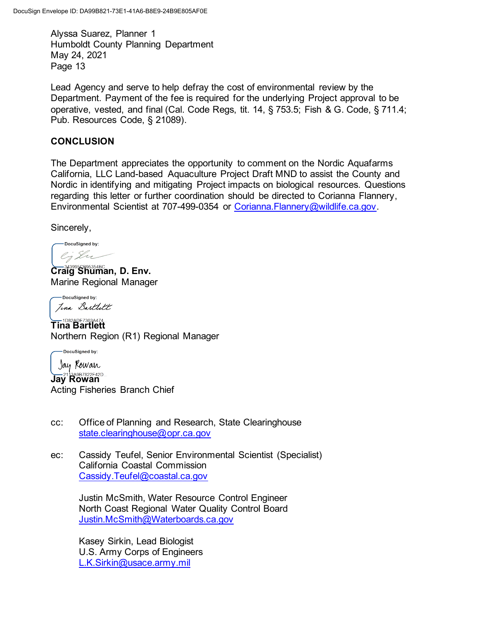Lead Agency and serve to help defray the cost of environmental review by the Department. Payment of the fee is required for the underlying Project approval to be operative, vested, and final (Cal. Code Regs, tit. 14, § 753.5; Fish & G. Code, § 711.4; Pub. Resources Code, § 21089).

# **CONCLUSION**

The Department appreciates the opportunity to comment on the Nordic Aquafarms California, LLC Land-based Aquaculture Project Draft MND to assist the County and Nordic in identifying and mitigating Project impacts on biological resources. Questions regarding this letter or further coordination should be directed to Corianna Flannery, Environmental Scientist at 707-499-0354 or Corianna. Flannery@wildlife.ca.gov.

Sincerely,

DocuSigned by: ej Su

**Craig Shuman, D. Env.** Marine Regional Manager

-DocuSigned by: Jina Bartlett

**Tina Bartlett** Northern Region (R1) Regional Manager

-DocuSigned by: Jay Kowan **Jay Rowan** 

Acting Fisheries Branch Chief

- cc: Office of Planning and Research, State Clearinghouse state.clearinghouse@opr.ca.gov
- ec: Cassidy Teufel, Senior Environmental Scientist (Specialist) California Coastal Commission Cassidy.Teufel@coastal.ca.gov

Justin McSmith, Water Resource Control Engineer North Coast Regional Water Quality Control Board [Justin.McSmith@Waterboards.ca.gov](mailto:Justin.McSmith@Waterboards.ca.gov)

Kasey Sirkin, Lead Biologist U.S. Army Corps of Engineers [L.K.Sirkin@usace.army.mil](mailto:L.K.Sirkin@usace.army.mil)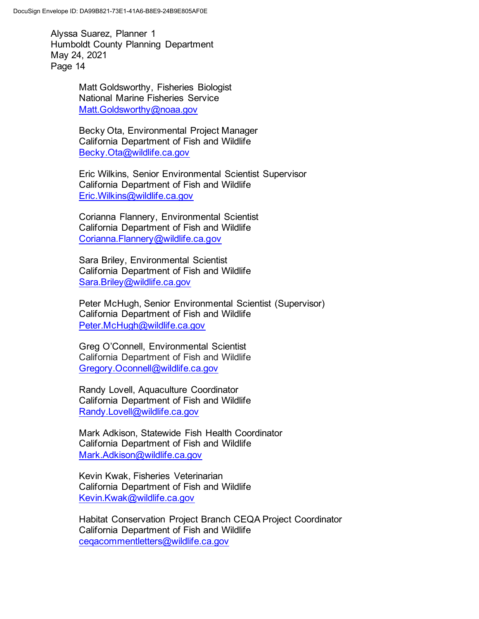> Matt Goldsworthy, Fisheries Biologist National Marine Fisheries Service [Matt.Goldsworthy@noaa.gov](mailto:Matt.Goldsworthy@noaa.gov)

Becky Ota, Environmental Project Manager California Department of Fish and Wildlife [Becky.Ota@wildlife.ca.gov](mailto:Becky.Ota@wildlife.ca.gov)

Eric Wilkins, Senior Environmental Scientist Supervisor California Department of Fish and Wildlife [Eric.Wilkins@wildlife.ca.gov](mailto:Eric.Wilkins@wildlife.ca.gov)

Corianna Flannery, Environmental Scientist California Department of Fish and Wildlife [Corianna.Flannery@wildlife.ca.gov](mailto:Corianna.Flannery@wildlife.ca.gov)

Sara Briley, Environmental Scientist California Department of Fish and Wildlife [Sara.Briley@wildlife.ca.gov](mailto:Sara.Briley@wildlife.ca.gov)

Peter McHugh, Senior Environmental Scientist (Supervisor) California Department of Fish and Wildlife [Peter.McHugh@wildlife.ca.gov](mailto:Peter.McHugh@wildlife.ca.gov)

Greg O'Connell, Environmental Scientist California Department of Fish and Wildlife [Gregory.Oconnell@wildlife.ca.gov](mailto:Gregory.Oconnell@wildlife.ca.gov)

Randy Lovell, Aquaculture Coordinator California Department of Fish and Wildlife [Randy.Lovell@wildlife.ca.gov](mailto:Randy.Lovell@wildlife.ca.gov)

Mark Adkison, Statewide Fish Health Coordinator California Department of Fish and Wildlife Mark.Adkison@wildlife.ca.gov

Kevin Kwak, Fisheries Veterinarian California Department of Fish and Wildlife Kevin.Kwak@wildlife.ca.gov

Habitat Conservation Project Branch CEQA Project Coordinator California Department of Fish and Wildlife [ceqacommentletters@wildlife.ca.gov](mailto:ceqacommentletters@wildlife.ca.gov)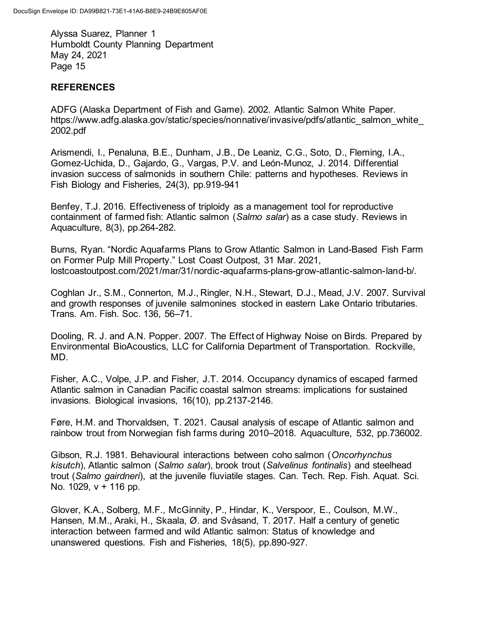# **REFERENCES**

ADFG (Alaska Department of Fish and Game). 2002. Atlantic Salmon White Paper. https://www.adfg.alaska.gov/static/species/nonnative/invasive/pdfs/atlantic\_salmon\_white [2002.pdf](https://www.adfg.alaska.gov/static/species/nonnative/invasive/pdfs/atlantic_salmon_white_2002.pdf)

Arismendi, I., Penaluna, B.E., Dunham, J.B., De Leaniz, C.G., Soto, D., Fleming, I.A., Gomez-Uchida, D., Gajardo, G., Vargas, P.V. and León-Munoz, J. 2014. Differential invasion success of salmonids in southern Chile: patterns and hypotheses. Reviews in Fish Biology and Fisheries, 24(3), pp.919-941

Benfey, T.J. 2016. Effectiveness of triploidy as a management tool for reproductive containment of farmed fish: Atlantic salmon (*Salmo salar*) as a case study. Reviews in Aquaculture, 8(3), pp.264-282.

Burns, Ryan. "Nordic Aquafarms Plans to Grow Atlantic Salmon in Land-Based Fish Farm on Former Pulp Mill Property." Lost Coast Outpost, 31 Mar. 2021, lostcoastoutpost.com/2021/mar/31/nordic-aquafarms-plans-grow-atlantic-salmon-land-b/.

Coghlan Jr., S.M., Connerton, M.J., Ringler, N.H., Stewart, D.J., Mead, J.V. 2007. Survival and growth responses of juvenile salmonines stocked in eastern Lake Ontario tributaries. Trans. Am. Fish. Soc. 136, 56–71.

Dooling, R. J. and A.N. Popper. 2007. The Effect of Highway Noise on Birds. Prepared by Environmental BioAcoustics, LLC for California Department of Transportation. Rockville, MD.

Fisher, A.C., Volpe, J.P. and Fisher, J.T. 2014. Occupancy dynamics of escaped farmed Atlantic salmon in Canadian Pacific coastal salmon streams: implications for sustained invasions. Biological invasions, 16(10), pp.2137-2146.

Føre, H.M. and Thorvaldsen, T. 2021. Causal analysis of escape of Atlantic salmon and rainbow trout from Norwegian fish farms during 2010–2018. Aquaculture, 532, pp.736002.

Gibson, R.J. 1981. Behavioural interactions between coho salmon (*Oncorhynchus kisutch*), Atlantic salmon (*Salmo salar*), brook trout (*Salvelinus fontinalis*) and steelhead trout (*Salmo gairdneri*), at the juvenile fluviatile stages. Can. Tech. Rep. Fish. Aquat. Sci. No. 1029, v + 116 pp.

Glover, K.A., Solberg, M.F., McGinnity, P., Hindar, K., Verspoor, E., Coulson, M.W., Hansen, M.M., Araki, H., Skaala, Ø. and Svåsand, T. 2017. Half a century of genetic interaction between farmed and wild Atlantic salmon: Status of knowledge and unanswered questions. Fish and Fisheries, 18(5), pp.890-927.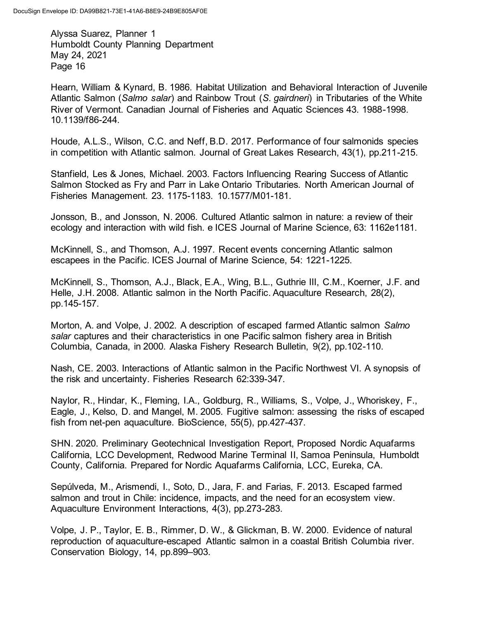Hearn, William & Kynard, B. 1986. Habitat Utilization and Behavioral Interaction of Juvenile Atlantic Salmon (*Salmo salar*) and Rainbow Trout (*S. gairdneri*) in Tributaries of the White River of Vermont. Canadian Journal of Fisheries and Aquatic Sciences 43. 1988-1998. 10.1139/f86-244.

Houde, A.L.S., Wilson, C.C. and Neff, B.D. 2017. Performance of four salmonids species in competition with Atlantic salmon. Journal of Great Lakes Research, 43(1), pp.211-215.

Stanfield, Les & Jones, Michael. 2003. Factors Influencing Rearing Success of Atlantic Salmon Stocked as Fry and Parr in Lake Ontario Tributaries. North American Journal of Fisheries Management. 23. 1175-1183. 10.1577/M01-181.

Jonsson, B., and Jonsson, N. 2006. Cultured Atlantic salmon in nature: a review of their ecology and interaction with wild fish. e ICES Journal of Marine Science, 63: 1162e1181.

McKinnell, S., and Thomson, A.J. 1997. Recent events concerning Atlantic salmon escapees in the Pacific. ICES Journal of Marine Science, 54: 1221-1225.

McKinnell, S., Thomson, A.J., Black, E.A., Wing, B.L., Guthrie III, C.M., Koerner, J.F. and Helle, J.H. 2008. Atlantic salmon in the North Pacific. Aquaculture Research, 28(2), pp.145-157.

Morton, A. and Volpe, J. 2002. A description of escaped farmed Atlantic salmon *Salmo salar* captures and their characteristics in one Pacific salmon fishery area in British Columbia, Canada, in 2000. Alaska Fishery Research Bulletin, 9(2), pp.102-110.

Nash, CE. 2003. Interactions of Atlantic salmon in the Pacific Northwest VI. A synopsis of the risk and uncertainty. Fisheries Research 62:339-347.

Naylor, R., Hindar, K., Fleming, I.A., Goldburg, R., Williams, S., Volpe, J., Whoriskey, F., Eagle, J., Kelso, D. and Mangel, M. 2005. Fugitive salmon: assessing the risks of escaped fish from net-pen aquaculture. BioScience, 55(5), pp.427-437.

SHN. 2020. Preliminary Geotechnical Investigation Report, Proposed Nordic Aquafarms California, LCC Development, Redwood Marine Terminal II, Samoa Peninsula, Humboldt County, California. Prepared for Nordic Aquafarms California, LCC, Eureka, CA.

Sepúlveda, M., Arismendi, I., Soto, D., Jara, F. and Farias, F. 2013. Escaped farmed salmon and trout in Chile: incidence, impacts, and the need for an ecosystem view. Aquaculture Environment Interactions, 4(3), pp.273-283.

Volpe, J. P., Taylor, E. B., Rimmer, D. W., & Glickman, B. W. 2000. Evidence of natural reproduction of aquaculture-escaped Atlantic salmon in a coastal British Columbia river. Conservation Biology, 14, pp.899–903.